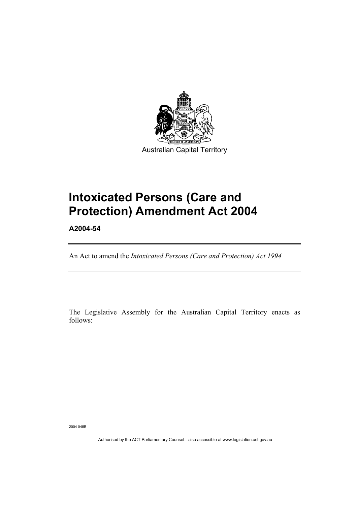

# **Intoxicated Persons (Care and Protection) Amendment Act 2004**

**A2004-54** 

I

An Act to amend the *Intoxicated Persons (Care and Protection) Act 1994*

The Legislative Assembly for the Australian Capital Territory enacts as follows:

2004 045B

Authorised by the ACT Parliamentary Counsel—also accessible at www.legislation.act.gov.au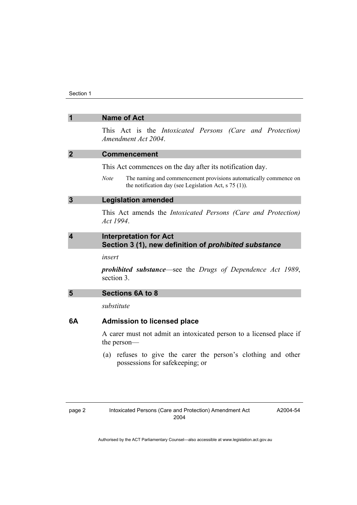|    | <b>Name of Act</b>                                                                                                                         |
|----|--------------------------------------------------------------------------------------------------------------------------------------------|
|    | This Act is the <i>Intoxicated Persons (Care and Protection)</i><br>Amendment Act 2004.                                                    |
| 2  | <b>Commencement</b>                                                                                                                        |
|    | This Act commences on the day after its notification day.                                                                                  |
|    | <b>Note</b><br>The naming and commencement provisions automatically commence on<br>the notification day (see Legislation Act, $s$ 75 (1)). |
| 3  | <b>Legislation amended</b>                                                                                                                 |
|    | This Act amends the <i>Intoxicated Persons (Care and Protection)</i><br>Act 1994.                                                          |
| 4  | <b>Interpretation for Act</b><br>Section 3 (1), new definition of prohibited substance                                                     |
|    | insert                                                                                                                                     |
|    | <b>prohibited substance—see the Drugs of Dependence Act 1989,</b><br>section 3.                                                            |
| 5  | <b>Sections 6A to 8</b>                                                                                                                    |
|    | substitute                                                                                                                                 |
| 6A | <b>Admission to licensed place</b>                                                                                                         |
|    | A carer must not admit an intoxicated person to a licensed place if<br>the person—                                                         |
|    | (a) refuses to give the carer the person's clothing and other<br>possessions for safekeeping; or                                           |
|    |                                                                                                                                            |
|    |                                                                                                                                            |

A2004-54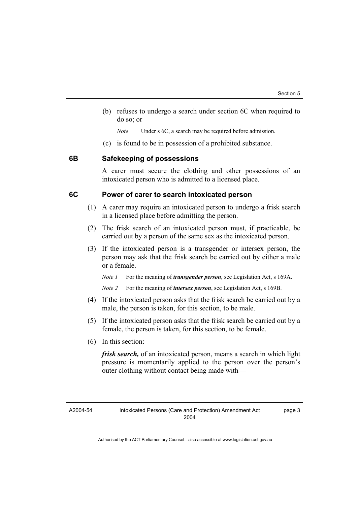(b) refuses to undergo a search under section 6C when required to do so; or

*Note* Under s 6C, a search may be required before admission.

(c) is found to be in possession of a prohibited substance.

#### **6B Safekeeping of possessions**

A carer must secure the clothing and other possessions of an intoxicated person who is admitted to a licensed place.

### **6C Power of carer to search intoxicated person**

- (1) A carer may require an intoxicated person to undergo a frisk search in a licensed place before admitting the person.
- (2) The frisk search of an intoxicated person must, if practicable, be carried out by a person of the same sex as the intoxicated person.
- (3) If the intoxicated person is a transgender or intersex person, the person may ask that the frisk search be carried out by either a male or a female.

*Note 1* For the meaning of *transgender person*, see Legislation Act, s 169A.

*Note 2* For the meaning of *intersex person*, see Legislation Act, s 169B.

- (4) If the intoxicated person asks that the frisk search be carried out by a male, the person is taken, for this section, to be male.
- (5) If the intoxicated person asks that the frisk search be carried out by a female, the person is taken, for this section, to be female.
- (6) In this section:

*frisk search,* of an intoxicated person, means a search in which light pressure is momentarily applied to the person over the person's outer clothing without contact being made with—

page 3

A2004-54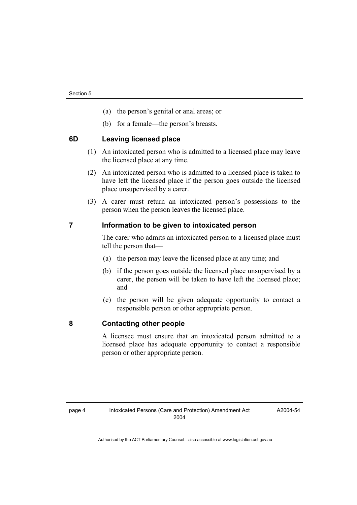- (a) the person's genital or anal areas; or
- (b) for a female—the person's breasts.

#### **6D Leaving licensed place**

- (1) An intoxicated person who is admitted to a licensed place may leave the licensed place at any time.
- (2) An intoxicated person who is admitted to a licensed place is taken to have left the licensed place if the person goes outside the licensed place unsupervised by a carer.
- (3) A carer must return an intoxicated person's possessions to the person when the person leaves the licensed place.

#### **7 Information to be given to intoxicated person**

The carer who admits an intoxicated person to a licensed place must tell the person that—

- (a) the person may leave the licensed place at any time; and
- (b) if the person goes outside the licensed place unsupervised by a carer, the person will be taken to have left the licensed place; and
- (c) the person will be given adequate opportunity to contact a responsible person or other appropriate person.

#### **8 Contacting other people**

A licensee must ensure that an intoxicated person admitted to a licensed place has adequate opportunity to contact a responsible person or other appropriate person.